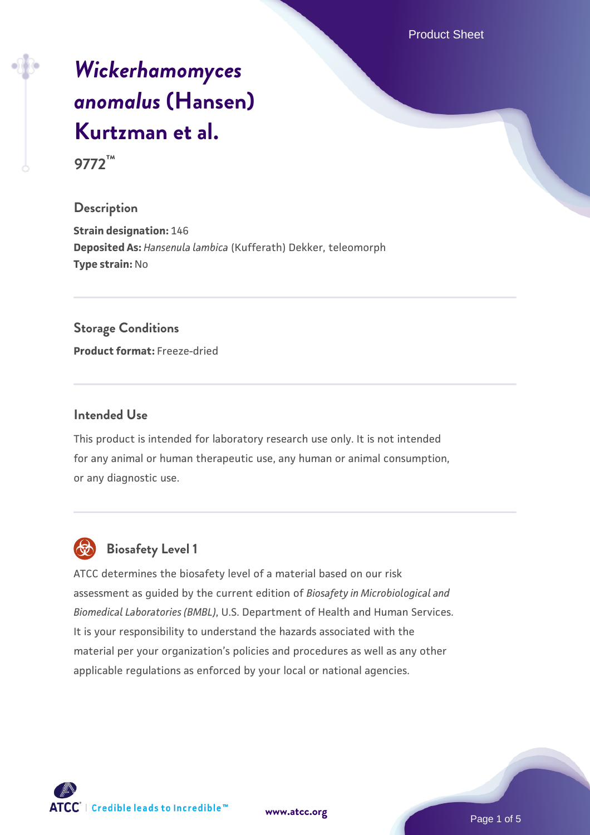Product Sheet

# *[Wickerhamomyces](https://www.atcc.org/products/9772) [anomalus](https://www.atcc.org/products/9772)* **[\(Hansen\)](https://www.atcc.org/products/9772) [Kurtzman et al.](https://www.atcc.org/products/9772)**

**9772™**

#### **Description**

**Strain designation:** 146 **Deposited As:** *Hansenula lambica* (Kufferath) Dekker, teleomorph **Type strain:** No

#### **Storage Conditions**

**Product format:** Freeze-dried

#### **Intended Use**

This product is intended for laboratory research use only. It is not intended for any animal or human therapeutic use, any human or animal consumption, or any diagnostic use.



# **Biosafety Level 1**

ATCC determines the biosafety level of a material based on our risk assessment as guided by the current edition of *Biosafety in Microbiological and Biomedical Laboratories (BMBL)*, U.S. Department of Health and Human Services. It is your responsibility to understand the hazards associated with the material per your organization's policies and procedures as well as any other applicable regulations as enforced by your local or national agencies.

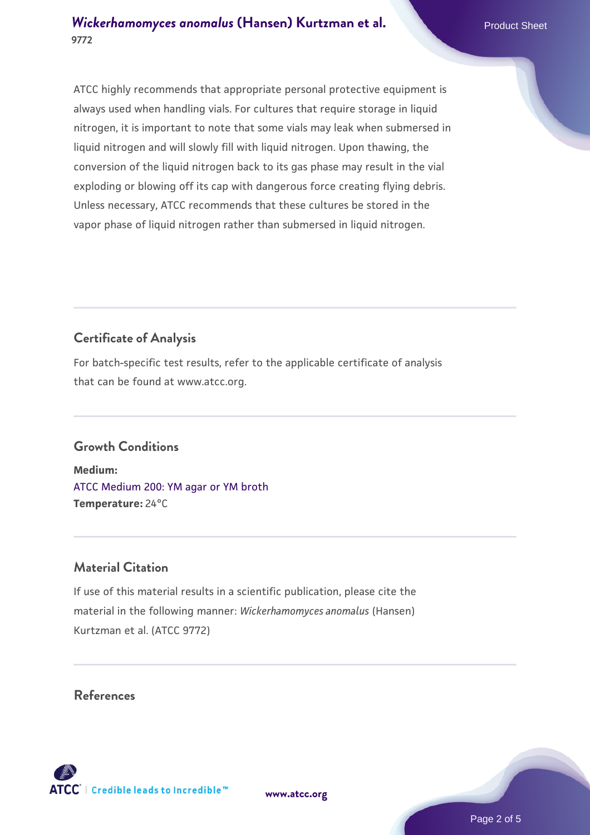#### *[Wickerhamomyces anomalus](https://www.atcc.org/products/9772)* **[\(Hansen\) Kurtzman et al.](https://www.atcc.org/products/9772) Product Sheet Product Sheet 9772**

ATCC highly recommends that appropriate personal protective equipment is always used when handling vials. For cultures that require storage in liquid nitrogen, it is important to note that some vials may leak when submersed in liquid nitrogen and will slowly fill with liquid nitrogen. Upon thawing, the conversion of the liquid nitrogen back to its gas phase may result in the vial exploding or blowing off its cap with dangerous force creating flying debris. Unless necessary, ATCC recommends that these cultures be stored in the vapor phase of liquid nitrogen rather than submersed in liquid nitrogen.

## **Certificate of Analysis**

For batch-specific test results, refer to the applicable certificate of analysis that can be found at www.atcc.org.

### **Growth Conditions**

**Medium:**  [ATCC Medium 200: YM agar or YM broth](https://www.atcc.org/-/media/product-assets/documents/microbial-media-formulations/2/0/0/atcc-medium-200.pdf?rev=ac40fd74dc13433a809367b0b9da30fc) **Temperature:** 24°C

#### **Material Citation**

If use of this material results in a scientific publication, please cite the material in the following manner: *Wickerhamomyces anomalus* (Hansen) Kurtzman et al. (ATCC 9772)

#### **References**

**[www.atcc.org](http://www.atcc.org)**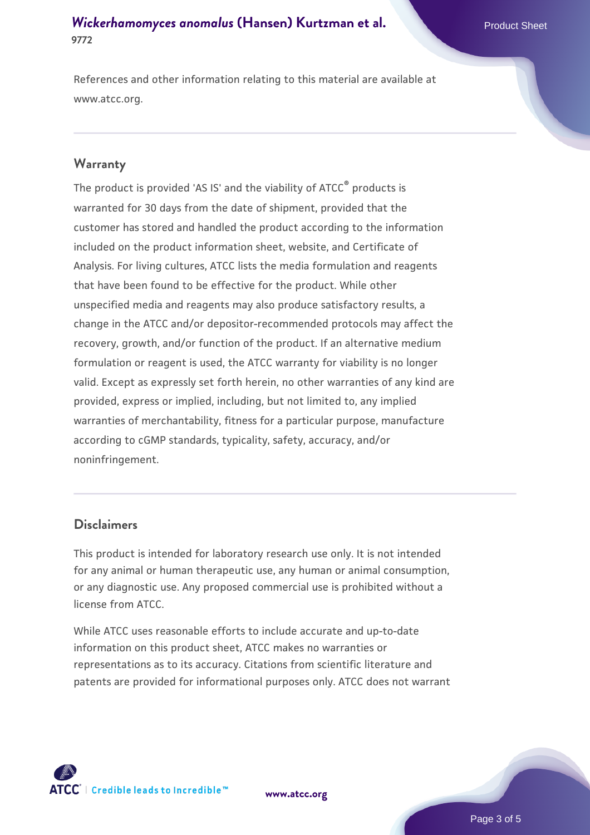#### *[Wickerhamomyces anomalus](https://www.atcc.org/products/9772)* **[\(Hansen\) Kurtzman et al.](https://www.atcc.org/products/9772) Product Sheet Product Sheet 9772**

References and other information relating to this material are available at www.atcc.org.

#### **Warranty**

The product is provided 'AS IS' and the viability of ATCC® products is warranted for 30 days from the date of shipment, provided that the customer has stored and handled the product according to the information included on the product information sheet, website, and Certificate of Analysis. For living cultures, ATCC lists the media formulation and reagents that have been found to be effective for the product. While other unspecified media and reagents may also produce satisfactory results, a change in the ATCC and/or depositor-recommended protocols may affect the recovery, growth, and/or function of the product. If an alternative medium formulation or reagent is used, the ATCC warranty for viability is no longer valid. Except as expressly set forth herein, no other warranties of any kind are provided, express or implied, including, but not limited to, any implied warranties of merchantability, fitness for a particular purpose, manufacture according to cGMP standards, typicality, safety, accuracy, and/or noninfringement.

#### **Disclaimers**

This product is intended for laboratory research use only. It is not intended for any animal or human therapeutic use, any human or animal consumption, or any diagnostic use. Any proposed commercial use is prohibited without a license from ATCC.

While ATCC uses reasonable efforts to include accurate and up-to-date information on this product sheet, ATCC makes no warranties or representations as to its accuracy. Citations from scientific literature and patents are provided for informational purposes only. ATCC does not warrant

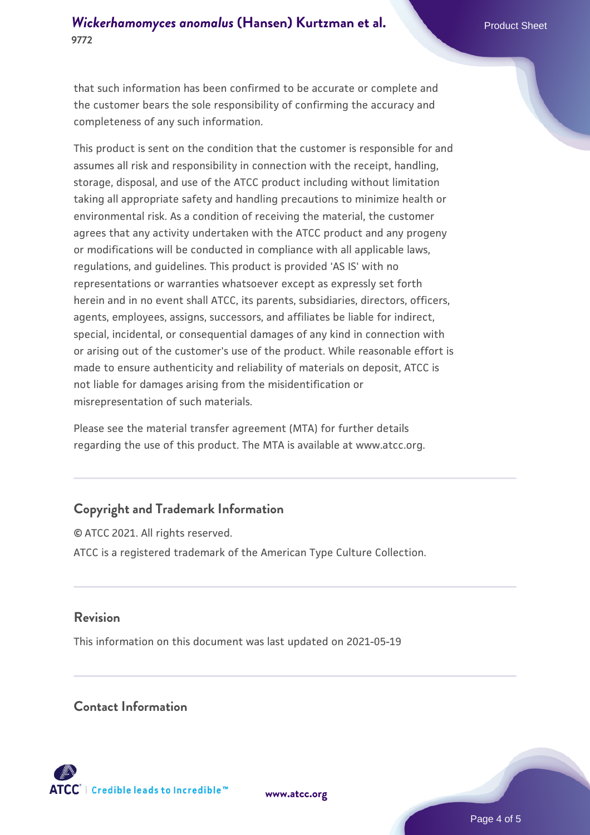#### *[Wickerhamomyces anomalus](https://www.atcc.org/products/9772)* [\(Hansen\) Kurtzman et al.](https://www.atcc.org/products/9772) **Product Sheet 9772**

that such information has been confirmed to be accurate or complete and the customer bears the sole responsibility of confirming the accuracy and completeness of any such information.

This product is sent on the condition that the customer is responsible for and assumes all risk and responsibility in connection with the receipt, handling, storage, disposal, and use of the ATCC product including without limitation taking all appropriate safety and handling precautions to minimize health or environmental risk. As a condition of receiving the material, the customer agrees that any activity undertaken with the ATCC product and any progeny or modifications will be conducted in compliance with all applicable laws, regulations, and guidelines. This product is provided 'AS IS' with no representations or warranties whatsoever except as expressly set forth herein and in no event shall ATCC, its parents, subsidiaries, directors, officers, agents, employees, assigns, successors, and affiliates be liable for indirect, special, incidental, or consequential damages of any kind in connection with or arising out of the customer's use of the product. While reasonable effort is made to ensure authenticity and reliability of materials on deposit, ATCC is not liable for damages arising from the misidentification or misrepresentation of such materials.

Please see the material transfer agreement (MTA) for further details regarding the use of this product. The MTA is available at www.atcc.org.

#### **Copyright and Trademark Information**

© ATCC 2021. All rights reserved. ATCC is a registered trademark of the American Type Culture Collection.

#### **Revision**

This information on this document was last updated on 2021-05-19

#### **Contact Information**



**[www.atcc.org](http://www.atcc.org)**